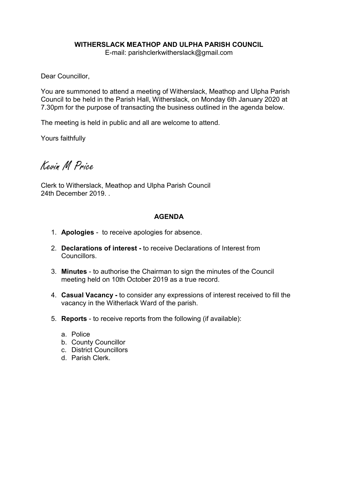# WITHERSLACK MEATHOP AND ULPHA PARISH COUNCIL

E-mail: parishclerkwitherslack@gmail.com

Dear Councillor,

You are summoned to attend a meeting of Witherslack, Meathop and Ulpha Parish Council to be held in the Parish Hall, Witherslack, on Monday 6th January 2020 at 7.30pm for the purpose of transacting the business outlined in the agenda below.

The meeting is held in public and all are welcome to attend.

Yours faithfully

Kevin M Price

Clerk to Witherslack, Meathop and Ulpha Parish Council 24th December 2019. .

# AGENDA

- 1. Apologies to receive apologies for absence.
- 2. Declarations of interest to receive Declarations of Interest from Councillors.
- 3. Minutes to authorise the Chairman to sign the minutes of the Council meeting held on 10th October 2019 as a true record.
- 4. Casual Vacancy to consider any expressions of interest received to fill the vacancy in the Witherlack Ward of the parish.
- 5. Reports to receive reports from the following (if available):
	- a. Police
	- b. County Councillor
	- c. District Councillors
	- d. Parish Clerk.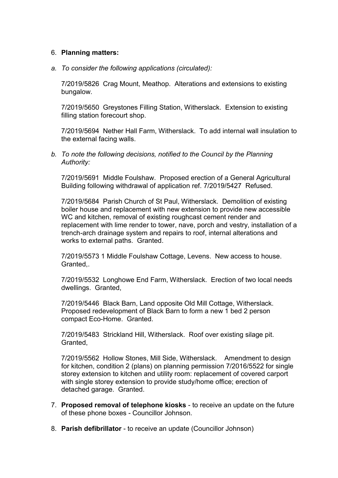### 6. Planning matters:

*a. To consider the following applications (circulated):*

7/2019/5826 Crag Mount, Meathop. Alterations and extensions to existing bungalow.

7/2019/5650 Greystones Filling Station, Witherslack. Extension to existing filling station forecourt shop.

7/2019/5694 Nether Hall Farm, Witherslack. To add internal wall insulation to the external facing walls.

*b. To note the following decisions, notified to the Council by the Planning Authority:*

7/2019/5691 Middle Foulshaw. Proposed erection of a General Agricultural Building following withdrawal of application ref. 7/2019/5427 Refused.

7/2019/5684 Parish Church of St Paul, Witherslack. Demolition of existing boiler house and replacement with new extension to provide new accessible WC and kitchen, removal of existing roughcast cement render and replacement with lime render to tower, nave, porch and vestry, installation of a trench-arch drainage system and repairs to roof, internal alterations and works to external paths. Granted.

7/2019/5573 1 Middle Foulshaw Cottage, Levens. New access to house. Granted,.

7/2019/5532 Longhowe End Farm, Witherslack. Erection of two local needs dwellings. Granted,

7/2019/5446 Black Barn, Land opposite Old Mill Cottage, Witherslack. Proposed redevelopment of Black Barn to form a new 1 bed 2 person compact Eco-Home. Granted.

7/2019/5483 Strickland Hill, Witherslack. Roof over existing silage pit. Granted,

7/2019/5562 Hollow Stones, Mill Side, Witherslack. Amendment to design for kitchen, condition 2 (plans) on planning permission 7/2016/5522 for single storey extension to kitchen and utility room: replacement of covered carport with single storey extension to provide study/home office; erection of detached garage. Granted.

- 7. Proposed removal of telephone kiosks to receive an update on the future of these phone boxes - Councillor Johnson.
- 8. Parish defibrillator to receive an update (Councillor Johnson)